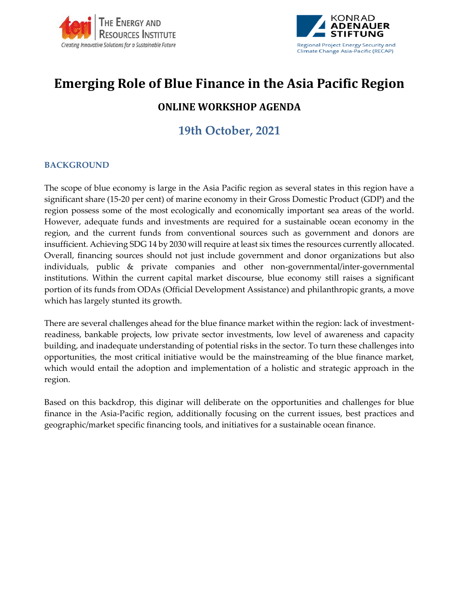



# **Emerging Role of Blue Finance in the Asia Pacific Region**

# **ONLINE WORKSHOP AGENDA**

# **19th October, 2021**

## **BACKGROUND**

The scope of blue economy is large in the Asia Pacific region as several states in this region have a significant share (15-20 per cent) of marine economy in their Gross Domestic Product (GDP) and the region possess some of the most ecologically and economically important sea areas of the world. However, adequate funds and investments are required for a sustainable ocean economy in the region, and the current funds from conventional sources such as government and donors are insufficient. Achieving SDG 14 by 2030 will require at least six times the resources currently allocated. Overall, financing sources should not just include government and donor organizations but also individuals, public & private companies and other non-governmental/inter-governmental institutions. Within the current capital market discourse, blue economy still raises a significant portion of its funds from ODAs (Official Development Assistance) and philanthropic grants, a move which has largely stunted its growth.

There are several challenges ahead for the blue finance market within the region: lack of investmentreadiness, bankable projects, low private sector investments, low level of awareness and capacity building, and inadequate understanding of potential risks in the sector. To turn these challenges into opportunities, the most critical initiative would be the mainstreaming of the blue finance market, which would entail the adoption and implementation of a holistic and strategic approach in the region.

Based on this backdrop, this diginar will deliberate on the opportunities and challenges for blue finance in the Asia-Pacific region, additionally focusing on the current issues, best practices and geographic/market specific financing tools, and initiatives for a sustainable ocean finance.